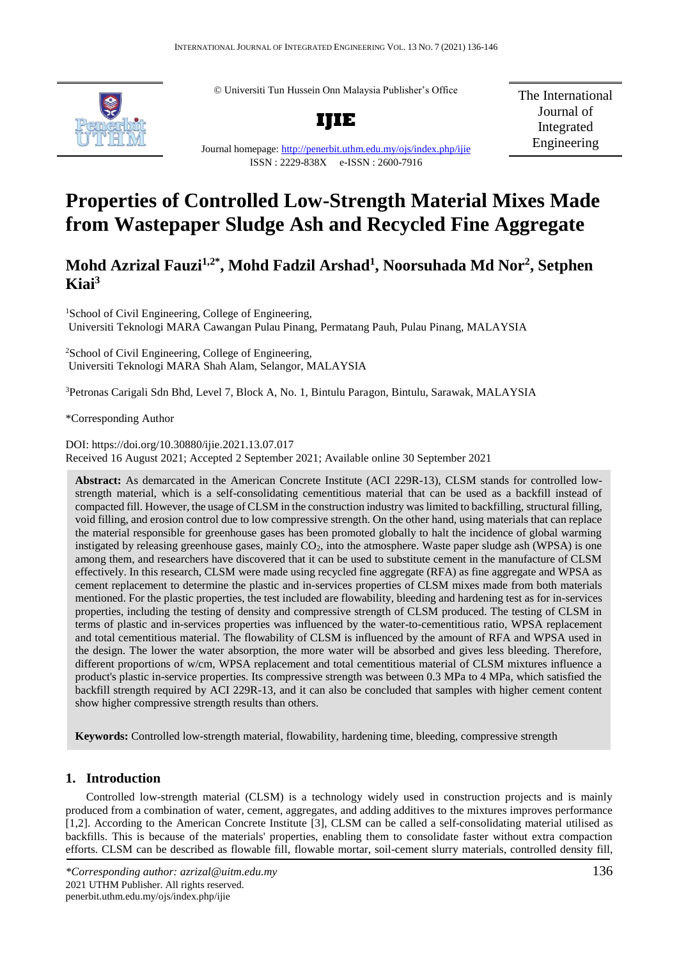© Universiti Tun Hussein Onn Malaysia Publisher's Office



**IJIE**

The International Journal of Integrated Engineering

#### Journal homepage:<http://penerbit.uthm.edu.my/ojs/index.php/ijie> ISSN : 2229-838X e-ISSN : 2600-7916

# **Properties of Controlled Low-Strength Material Mixes Made from Wastepaper Sludge Ash and Recycled Fine Aggregate**

# **Mohd Azrizal Fauzi1,2\* , Mohd Fadzil Arshad<sup>1</sup> , Noorsuhada Md Nor<sup>2</sup> , Setphen Kiai<sup>3</sup>**

<sup>1</sup>School of Civil Engineering, College of Engineering, Universiti Teknologi MARA Cawangan Pulau Pinang, Permatang Pauh, Pulau Pinang, MALAYSIA

<sup>2</sup>School of Civil Engineering, College of Engineering, Universiti Teknologi MARA Shah Alam, Selangor, MALAYSIA

<sup>3</sup>Petronas Carigali Sdn Bhd, Level 7, Block A, No. 1, Bintulu Paragon, Bintulu, Sarawak, MALAYSIA

\*Corresponding Author

DOI: https://doi.org/10.30880/ijie.2021.13.07.017 Received 16 August 2021; Accepted 2 September 2021; Available online 30 September 2021

**Abstract:** As demarcated in the American Concrete Institute (ACI 229R-13), CLSM stands for controlled lowstrength material, which is a self-consolidating cementitious material that can be used as a backfill instead of compacted fill. However, the usage of CLSM in the construction industry was limited to backfilling, structural filling, void filling, and erosion control due to low compressive strength. On the other hand, using materials that can replace the material responsible for greenhouse gases has been promoted globally to halt the incidence of global warming instigated by releasing greenhouse gases, mainly  $CO<sub>2</sub>$ , into the atmosphere. Waste paper sludge ash (WPSA) is one among them, and researchers have discovered that it can be used to substitute cement in the manufacture of CLSM effectively. In this research, CLSM were made using recycled fine aggregate (RFA) as fine aggregate and WPSA as cement replacement to determine the plastic and in-services properties of CLSM mixes made from both materials mentioned. For the plastic properties, the test included are flowability, bleeding and hardening test as for in-services properties, including the testing of density and compressive strength of CLSM produced. The testing of CLSM in terms of plastic and in-services properties was influenced by the water-to-cementitious ratio, WPSA replacement and total cementitious material. The flowability of CLSM is influenced by the amount of RFA and WPSA used in the design. The lower the water absorption, the more water will be absorbed and gives less bleeding. Therefore, different proportions of w/cm, WPSA replacement and total cementitious material of CLSM mixtures influence a product's plastic in-service properties. Its compressive strength was between 0.3 MPa to 4 MPa, which satisfied the backfill strength required by ACI 229R-13, and it can also be concluded that samples with higher cement content show higher compressive strength results than others.

**Keywords:** Controlled low-strength material, flowability, hardening time, bleeding, compressive strength

# **1. Introduction**

Controlled low-strength material (CLSM) is a technology widely used in construction projects and is mainly produced from a combination of water, cement, aggregates, and adding additives to the mixtures improves performance [1,2]. According to the American Concrete Institute [3], CLSM can be called a self-consolidating material utilised as backfills. This is because of the materials' properties, enabling them to consolidate faster without extra compaction efforts. CLSM can be described as flowable fill, flowable mortar, soil-cement slurry materials, controlled density fill,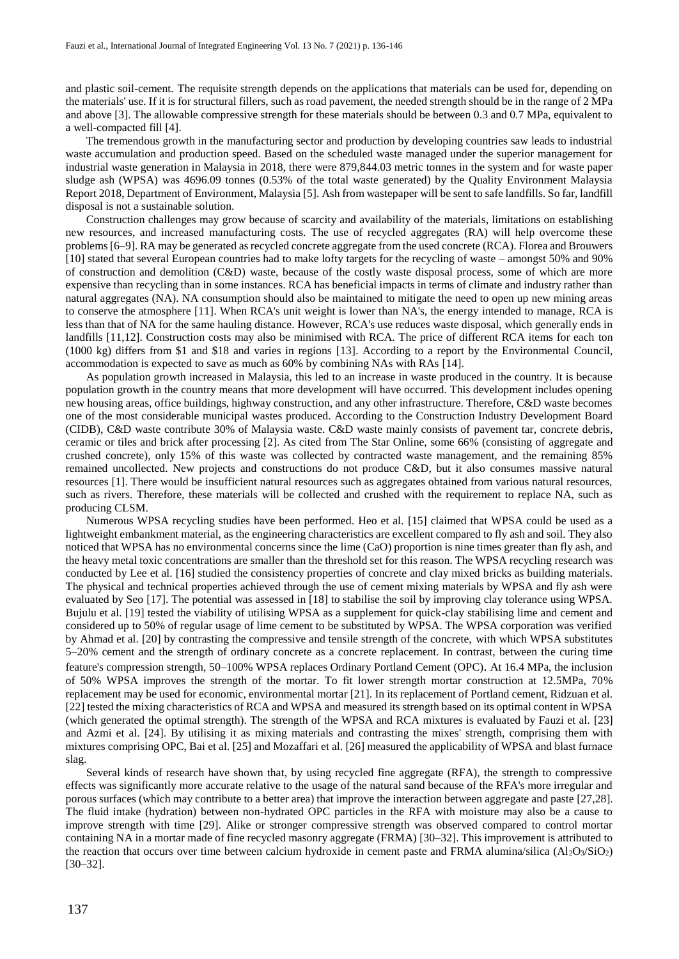and plastic soil-cement. The requisite strength depends on the applications that materials can be used for, depending on the materials' use. If it is for structural fillers, such as road pavement, the needed strength should be in the range of 2 MPa and above [3]. The allowable compressive strength for these materials should be between 0.3 and 0.7 MPa, equivalent to a well-compacted fill [4].

The tremendous growth in the manufacturing sector and production by developing countries saw leads to industrial waste accumulation and production speed. Based on the scheduled waste managed under the superior management for industrial waste generation in Malaysia in 2018, there were 879,844.03 metric tonnes in the system and for waste paper sludge ash (WPSA) was 4696.09 tonnes (0.53% of the total waste generated) by the Quality Environment Malaysia Report 2018, Department of Environment, Malaysia [5]. Ash from wastepaper will be sent to safe landfills. So far, landfill disposal is not a sustainable solution.

Construction challenges may grow because of scarcity and availability of the materials, limitations on establishing new resources, and increased manufacturing costs. The use of recycled aggregates (RA) will help overcome these problems [6–9]. RA may be generated as recycled concrete aggregate from the used concrete (RCA). Florea and Brouwers [10] stated that several European countries had to make lofty targets for the recycling of waste – amongst 50% and 90% of construction and demolition (C&D) waste, because of the costly waste disposal process, some of which are more expensive than recycling than in some instances. RCA has beneficial impacts in terms of climate and industry rather than natural aggregates (NA). NA consumption should also be maintained to mitigate the need to open up new mining areas to conserve the atmosphere [11]. When RCA's unit weight is lower than NA's, the energy intended to manage, RCA is less than that of NA for the same hauling distance. However, RCA's use reduces waste disposal, which generally ends in landfills [11,12]. Construction costs may also be minimised with RCA. The price of different RCA items for each ton (1000 kg) differs from \$1 and \$18 and varies in regions [13]. According to a report by the Environmental Council, accommodation is expected to save as much as 60% by combining NAs with RAs [14].

As population growth increased in Malaysia, this led to an increase in waste produced in the country. It is because population growth in the country means that more development will have occurred. This development includes opening new housing areas, office buildings, highway construction, and any other infrastructure. Therefore, C&D waste becomes one of the most considerable municipal wastes produced. According to the Construction Industry Development Board (CIDB), C&D waste contribute 30% of Malaysia waste. C&D waste mainly consists of pavement tar, concrete debris, ceramic or tiles and brick after processing [2]. As cited from The Star Online, some 66% (consisting of aggregate and crushed concrete), only 15% of this waste was collected by contracted waste management, and the remaining 85% remained uncollected. New projects and constructions do not produce C&D, but it also consumes massive natural resources [1]. There would be insufficient natural resources such as aggregates obtained from various natural resources, such as rivers. Therefore, these materials will be collected and crushed with the requirement to replace NA, such as producing CLSM.

Numerous WPSA recycling studies have been performed. Heo et al. [15] claimed that WPSA could be used as a lightweight embankment material, as the engineering characteristics are excellent compared to fly ash and soil. They also noticed that WPSA has no environmental concerns since the lime (CaO) proportion is nine times greater than fly ash, and the heavy metal toxic concentrations are smaller than the threshold set for this reason. The WPSA recycling research was conducted by Lee et al. [16] studied the consistency properties of concrete and clay mixed bricks as building materials. The physical and technical properties achieved through the use of cement mixing materials by WPSA and fly ash were evaluated by Seo [17]. The potential was assessed in [18] to stabilise the soil by improving clay tolerance using WPSA. Bujulu et al. [19] tested the viability of utilising WPSA as a supplement for quick-clay stabilising lime and cement and considered up to 50% of regular usage of lime cement to be substituted by WPSA. The WPSA corporation was verified by Ahmad et al. [20] by contrasting the compressive and tensile strength of the concrete, with which WPSA substitutes 5–20% cement and the strength of ordinary concrete as a concrete replacement. In contrast, between the curing time feature's compression strength, 50–100% WPSA replaces Ordinary Portland Cement (OPC). At 16.4 MPa, the inclusion of 50% WPSA improves the strength of the mortar. To fit lower strength mortar construction at 12.5MPa, 70% replacement may be used for economic, environmental mortar [21]. In its replacement of Portland cement, Ridzuan et al. [22] tested the mixing characteristics of RCA and WPSA and measured its strength based on its optimal content in WPSA (which generated the optimal strength). The strength of the WPSA and RCA mixtures is evaluated by Fauzi et al. [23] and Azmi et al. [24]. By utilising it as mixing materials and contrasting the mixes' strength, comprising them with mixtures comprising OPC, Bai et al. [25] and Mozaffari et al. [26] measured the applicability of WPSA and blast furnace slag.

Several kinds of research have shown that, by using recycled fine aggregate (RFA), the strength to compressive effects was significantly more accurate relative to the usage of the natural sand because of the RFA's more irregular and porous surfaces (which may contribute to a better area) that improve the interaction between aggregate and paste [27,28]. The fluid intake (hydration) between non-hydrated OPC particles in the RFA with moisture may also be a cause to improve strength with time [29]. Alike or stronger compressive strength was observed compared to control mortar containing NA in a mortar made of fine recycled masonry aggregate (FRMA) [30–32]. This improvement is attributed to the reaction that occurs over time between calcium hydroxide in cement paste and FRMA alumina/silica  $(A_1O_3/SiO_2)$ [30–32].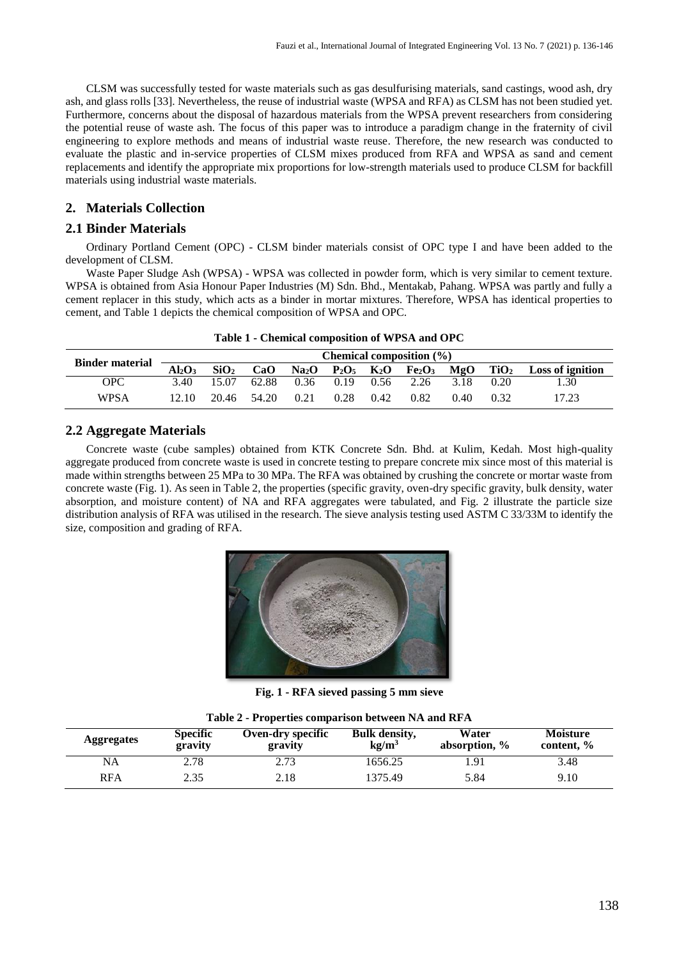CLSM was successfully tested for waste materials such as gas desulfurising materials, sand castings, wood ash, dry ash, and glass rolls [33]. Nevertheless, the reuse of industrial waste (WPSA and RFA) as CLSM has not been studied yet. Furthermore, concerns about the disposal of hazardous materials from the WPSA prevent researchers from considering the potential reuse of waste ash. The focus of this paper was to introduce a paradigm change in the fraternity of civil engineering to explore methods and means of industrial waste reuse. Therefore, the new research was conducted to evaluate the plastic and in-service properties of CLSM mixes produced from RFA and WPSA as sand and cement replacements and identify the appropriate mix proportions for low-strength materials used to produce CLSM for backfill materials using industrial waste materials.

## **2. Materials Collection**

#### **2.1 Binder Materials**

Ordinary Portland Cement (OPC) - CLSM binder materials consist of OPC type I and have been added to the development of CLSM.

Waste Paper Sludge Ash (WPSA) - WPSA was collected in powder form, which is very similar to cement texture. WPSA is obtained from Asia Honour Paper Industries (M) Sdn. Bhd., Mentakab, Pahang. WPSA was partly and fully a cement replacer in this study, which acts as a binder in mortar mixtures. Therefore, WPSA has identical properties to cement, and Table 1 depicts the chemical composition of WPSA and OPC.

|  |  |  | Table 1 - Chemical composition of WPSA and OPC |  |  |
|--|--|--|------------------------------------------------|--|--|
|--|--|--|------------------------------------------------|--|--|

| <b>Binder material</b> |           |                  |       |                   |                           |      | Chemical composition $(\% )$   |      |                  |                         |
|------------------------|-----------|------------------|-------|-------------------|---------------------------|------|--------------------------------|------|------------------|-------------------------|
|                        | $Al_2O_3$ | SiO <sub>2</sub> | CaO   | Na <sub>2</sub> O | $P_2O_5$ K <sub>2</sub> O |      | Fe <sub>2</sub> O <sub>3</sub> | MgO  | TiO <sub>2</sub> | <b>Loss of ignition</b> |
| OPC                    | 3.40      | 15.07            | 62.88 | 0.36              | 0.19                      | 0.56 | 2.26                           | 3.18 | 0.20             | 1.30                    |
| WPSA                   | 12.10     | 20.46            | 54.20 | 0.21              | 0.28                      | 0.42 | 0.82                           | 0.40 | 0.32             | 17.23                   |

## **2.2 Aggregate Materials**

Concrete waste (cube samples) obtained from KTK Concrete Sdn. Bhd. at Kulim, Kedah. Most high-quality aggregate produced from concrete waste is used in concrete testing to prepare concrete mix since most of this material is made within strengths between 25 MPa to 30 MPa. The RFA was obtained by crushing the concrete or mortar waste from concrete waste (Fig. 1). As seen in Table 2, the properties (specific gravity, oven-dry specific gravity, bulk density, water absorption, and moisture content) of NA and RFA aggregates were tabulated, and Fig. 2 illustrate the particle size distribution analysis of RFA was utilised in the research. The sieve analysis testing used ASTM C 33/33M to identify the size, composition and grading of RFA.



**Fig. 1 - RFA sieved passing 5 mm sieve**

| <b>Aggregates</b> | <b>Specific</b><br>gravity | Oven-dry specific<br>gravity | <b>Bulk density,</b><br>kg/m <sup>3</sup> | Water<br>absorption, % | <b>Moisture</b><br>content, % |  |  |  |  |  |
|-------------------|----------------------------|------------------------------|-------------------------------------------|------------------------|-------------------------------|--|--|--|--|--|
| NA                | 2.78                       | 2.73                         | 1656.25                                   | l.91                   | 3.48                          |  |  |  |  |  |
| <b>RFA</b>        | 2.35                       | 2.18                         | 1375.49                                   | 5.84                   | 9.10                          |  |  |  |  |  |

| Table 2 - Properties comparison between NA and RFA |  |  |  |
|----------------------------------------------------|--|--|--|
|----------------------------------------------------|--|--|--|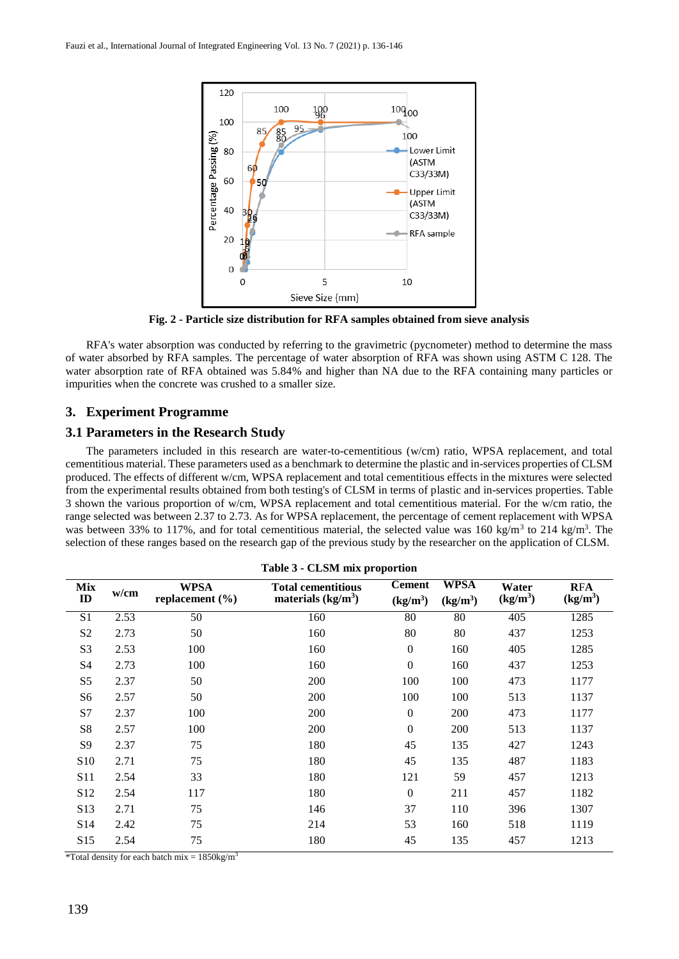

**Fig. 2 - Particle size distribution for RFA samples obtained from sieve analysis**

RFA's water absorption was conducted by referring to the gravimetric (pycnometer) method to determine the mass of water absorbed by RFA samples. The percentage of water absorption of RFA was shown using ASTM C 128. The water absorption rate of RFA obtained was 5.84% and higher than NA due to the RFA containing many particles or impurities when the concrete was crushed to a smaller size.

#### **3. Experiment Programme**

#### **3.1 Parameters in the Research Study**

The parameters included in this research are water-to-cementitious (w/cm) ratio, WPSA replacement, and total cementitious material. These parameters used as a benchmark to determine the plastic and in-services properties of CLSM produced. The effects of different w/cm, WPSA replacement and total cementitious effects in the mixtures were selected from the experimental results obtained from both testing's of CLSM in terms of plastic and in-services properties. Table 3 shown the various proportion of w/cm, WPSA replacement and total cementitious material. For the w/cm ratio, the range selected was between 2.37 to 2.73. As for WPSA replacement, the percentage of cement replacement with WPSA was between 33% to 117%, and for total cementitious material, the selected value was  $160 \text{ kg/m}^3$  to  $214 \text{ kg/m}^3$ . The selection of these ranges based on the research gap of the previous study by the researcher on the application of CLSM.

| <b>CEDIM HIM proportion</b> |      |                                    |                                                  |                                       |                                     |                               |                                    |  |  |  |
|-----------------------------|------|------------------------------------|--------------------------------------------------|---------------------------------------|-------------------------------------|-------------------------------|------------------------------------|--|--|--|
| Mix<br>$\mathbf{ID}$        | w/cm | <b>WPSA</b><br>replacement $(\% )$ | <b>Total cementitious</b><br>materials $(kg/m3)$ | <b>Cement</b><br>(kg/m <sup>3</sup> ) | <b>WPSA</b><br>(kg/m <sup>3</sup> ) | Water<br>(kg/m <sup>3</sup> ) | <b>RFA</b><br>(kg/m <sup>3</sup> ) |  |  |  |
| S <sub>1</sub>              | 2.53 | $\overline{50}$                    | 160                                              | 80                                    | 80                                  | 405                           | 1285                               |  |  |  |
| S <sub>2</sub>              | 2.73 | 50                                 | 160                                              | 80                                    | 80                                  | 437                           | 1253                               |  |  |  |
| S <sub>3</sub>              | 2.53 | 100                                | 160                                              | $\boldsymbol{0}$                      | 160                                 | 405                           | 1285                               |  |  |  |
| S4                          | 2.73 | 100                                | 160                                              | $\mathbf{0}$                          | 160                                 | 437                           | 1253                               |  |  |  |
| S <sub>5</sub>              | 2.37 | 50                                 | 200                                              | 100                                   | 100                                 | 473                           | 1177                               |  |  |  |
| S6                          | 2.57 | 50                                 | 200                                              | 100                                   | 100                                 | 513                           | 1137                               |  |  |  |
| S7                          | 2.37 | 100                                | 200                                              | $\overline{0}$                        | 200                                 | 473                           | 1177                               |  |  |  |
| S8                          | 2.57 | 100                                | 200                                              | $\Omega$                              | 200                                 | 513                           | 1137                               |  |  |  |
| S <sub>9</sub>              | 2.37 | 75                                 | 180                                              | 45                                    | 135                                 | 427                           | 1243                               |  |  |  |
| S <sub>10</sub>             | 2.71 | 75                                 | 180                                              | 45                                    | 135                                 | 487                           | 1183                               |  |  |  |
| S11                         | 2.54 | 33                                 | 180                                              | 121                                   | 59                                  | 457                           | 1213                               |  |  |  |
| S <sub>12</sub>             | 2.54 | 117                                | 180                                              | $\mathbf{0}$                          | 211                                 | 457                           | 1182                               |  |  |  |
| S <sub>13</sub>             | 2.71 | 75                                 | 146                                              | 37                                    | 110                                 | 396                           | 1307                               |  |  |  |
| S <sub>14</sub>             | 2.42 | 75                                 | 214                                              | 53                                    | 160                                 | 518                           | 1119                               |  |  |  |
| S <sub>15</sub>             | 2.54 | 75                                 | 180                                              | 45                                    | 135                                 | 457                           | 1213                               |  |  |  |
|                             |      |                                    |                                                  |                                       |                                     |                               |                                    |  |  |  |

**Table 3 - CLSM mix proportion**

\*Total density for each batch mix =  $1850 \text{kg/m}^3$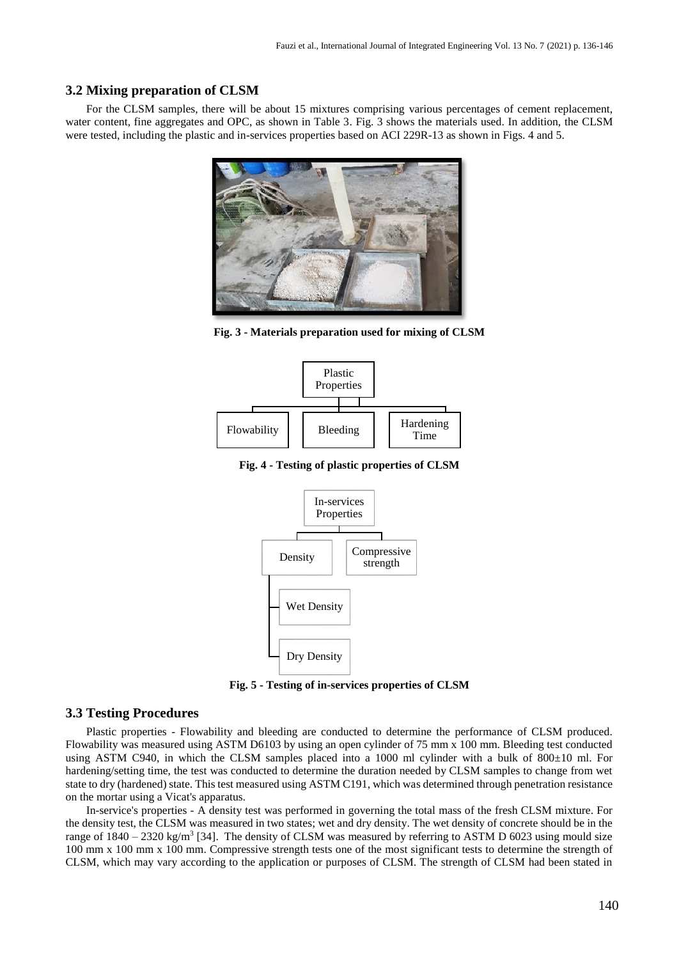#### **3.2 Mixing preparation of CLSM**

For the CLSM samples, there will be about 15 mixtures comprising various percentages of cement replacement, water content, fine aggregates and OPC, as shown in Table 3. Fig. 3 shows the materials used. In addition, the CLSM were tested, including the plastic and in-services properties based on ACI 229R-13 as shown in Figs. 4 and 5.



**Fig. 3 - Materials preparation used for mixing of CLSM**



**Fig. 4 - Testing of plastic properties of CLSM**



**Fig. 5 - Testing of in-services properties of CLSM**

#### **3.3 Testing Procedures**

Plastic properties - Flowability and bleeding are conducted to determine the performance of CLSM produced. Flowability was measured using ASTM D6103 by using an open cylinder of 75 mm x 100 mm. Bleeding test conducted using ASTM C940, in which the CLSM samples placed into a 1000 ml cylinder with a bulk of  $800\pm10$  ml. For hardening/setting time, the test was conducted to determine the duration needed by CLSM samples to change from wet state to dry (hardened) state. This test measured using ASTM C191, which was determined through penetration resistance on the mortar using a Vicat's apparatus.

In-service's properties - A density test was performed in governing the total mass of the fresh CLSM mixture. For the density test, the CLSM was measured in two states; wet and dry density. The wet density of concrete should be in the range of  $1840 - 2320$  kg/m<sup>3</sup> [34]. The density of CLSM was measured by referring to ASTM D 6023 using mould size 100 mm x 100 mm x 100 mm. Compressive strength tests one of the most significant tests to determine the strength of CLSM, which may vary according to the application or purposes of CLSM. The strength of CLSM had been stated in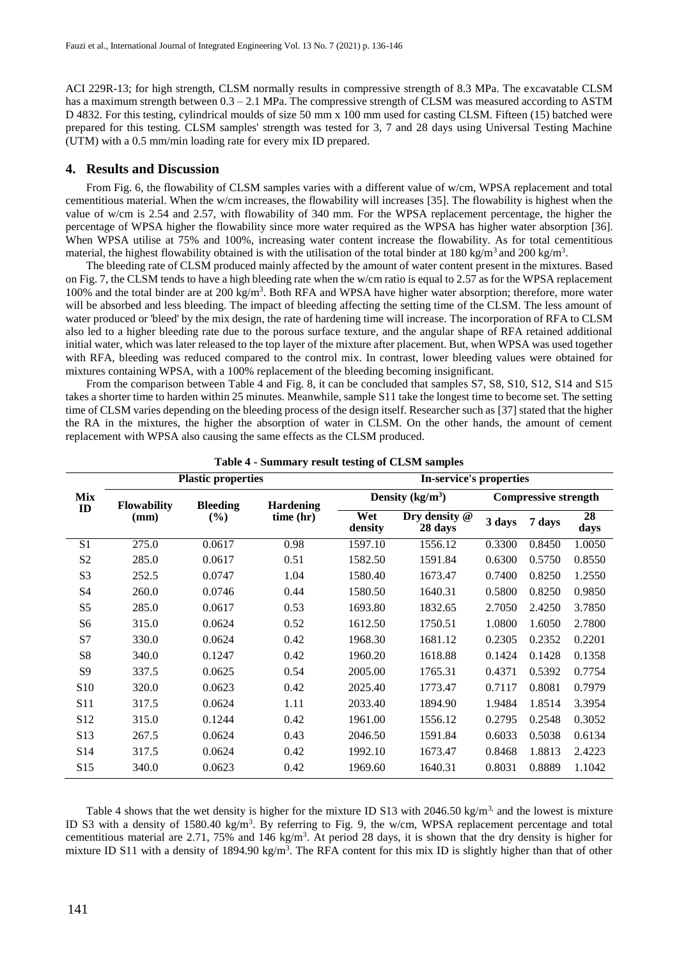ACI 229R-13; for high strength, CLSM normally results in compressive strength of 8.3 MPa. The excavatable CLSM has a maximum strength between  $0.3 - 2.1$  MPa. The compressive strength of CLSM was measured according to ASTM D 4832. For this testing, cylindrical moulds of size 50 mm x 100 mm used for casting CLSM. Fifteen (15) batched were prepared for this testing. CLSM samples' strength was tested for 3, 7 and 28 days using Universal Testing Machine (UTM) with a 0.5 mm/min loading rate for every mix ID prepared.

#### **4. Results and Discussion**

From Fig. 6, the flowability of CLSM samples varies with a different value of w/cm, WPSA replacement and total cementitious material. When the w/cm increases, the flowability will increases [35]. The flowability is highest when the value of w/cm is 2.54 and 2.57, with flowability of 340 mm. For the WPSA replacement percentage, the higher the percentage of WPSA higher the flowability since more water required as the WPSA has higher water absorption [36]. When WPSA utilise at 75% and 100%, increasing water content increase the flowability. As for total cementitious material, the highest flowability obtained is with the utilisation of the total binder at 180 kg/m<sup>3</sup> and 200 kg/m<sup>3</sup>.

The bleeding rate of CLSM produced mainly affected by the amount of water content present in the mixtures. Based on Fig. 7, the CLSM tends to have a high bleeding rate when the w/cm ratio is equal to 2.57 as for the WPSA replacement 100% and the total binder are at 200 kg/m<sup>3</sup> . Both RFA and WPSA have higher water absorption; therefore, more water will be absorbed and less bleeding. The impact of bleeding affecting the setting time of the CLSM. The less amount of water produced or 'bleed' by the mix design, the rate of hardening time will increase. The incorporation of RFA to CLSM also led to a higher bleeding rate due to the porous surface texture, and the angular shape of RFA retained additional initial water, which was later released to the top layer of the mixture after placement. But, when WPSA was used together with RFA, bleeding was reduced compared to the control mix. In contrast, lower bleeding values were obtained for mixtures containing WPSA, with a 100% replacement of the bleeding becoming insignificant.

From the comparison between Table 4 and Fig. 8, it can be concluded that samples S7, S8, S10, S12, S14 and S15 takes a shorter time to harden within 25 minutes. Meanwhile, sample S11 take the longest time to become set. The setting time of CLSM varies depending on the bleeding process of the design itself. Researcher such as [37] stated that the higher the RA in the mixtures, the higher the absorption of water in CLSM. On the other hands, the amount of cement replacement with WPSA also causing the same effects as the CLSM produced.

|                 |                    | <b>Plastic properties</b> |                  | In-service's properties |                            |                             |        |            |  |
|-----------------|--------------------|---------------------------|------------------|-------------------------|----------------------------|-----------------------------|--------|------------|--|
| Mix<br>ID       | <b>Flowability</b> | <b>Bleeding</b>           | <b>Hardening</b> |                         | Density $(kg/m3)$          | <b>Compressive strength</b> |        |            |  |
|                 | (mm)               | $(\%)$                    | time (hr)        | Wet<br>density          | Dry density $@$<br>28 days | 3 days                      | 7 days | 28<br>days |  |
| S1              | 275.0              | 0.0617                    | 0.98             | 1597.10                 | 1556.12                    | 0.3300                      | 0.8450 | 1.0050     |  |
| S <sub>2</sub>  | 285.0              | 0.0617                    | 0.51             | 1582.50                 | 1591.84                    | 0.6300                      | 0.5750 | 0.8550     |  |
| S <sub>3</sub>  | 252.5              | 0.0747                    | 1.04             | 1580.40                 | 1673.47                    | 0.7400                      | 0.8250 | 1.2550     |  |
| S4              | 260.0              | 0.0746                    | 0.44             | 1580.50                 | 1640.31                    | 0.5800                      | 0.8250 | 0.9850     |  |
| S <sub>5</sub>  | 285.0              | 0.0617                    | 0.53             | 1693.80                 | 1832.65                    | 2.7050                      | 2.4250 | 3.7850     |  |
| S6              | 315.0              | 0.0624                    | 0.52             | 1612.50                 | 1750.51                    | 1.0800                      | 1.6050 | 2.7800     |  |
| S7              | 330.0              | 0.0624                    | 0.42             | 1968.30                 | 1681.12                    | 0.2305                      | 0.2352 | 0.2201     |  |
| S <sup>8</sup>  | 340.0              | 0.1247                    | 0.42             | 1960.20                 | 1618.88                    | 0.1424                      | 0.1428 | 0.1358     |  |
| S9              | 337.5              | 0.0625                    | 0.54             | 2005.00                 | 1765.31                    | 0.4371                      | 0.5392 | 0.7754     |  |
| S <sub>10</sub> | 320.0              | 0.0623                    | 0.42             | 2025.40                 | 1773.47                    | 0.7117                      | 0.8081 | 0.7979     |  |
| S <sub>11</sub> | 317.5              | 0.0624                    | 1.11             | 2033.40                 | 1894.90                    | 1.9484                      | 1.8514 | 3.3954     |  |
| S <sub>12</sub> | 315.0              | 0.1244                    | 0.42             | 1961.00                 | 1556.12                    | 0.2795                      | 0.2548 | 0.3052     |  |
| S <sub>13</sub> | 267.5              | 0.0624                    | 0.43             | 2046.50                 | 1591.84                    | 0.6033                      | 0.5038 | 0.6134     |  |
| S <sub>14</sub> | 317.5              | 0.0624                    | 0.42             | 1992.10                 | 1673.47                    | 0.8468                      | 1.8813 | 2.4223     |  |
| S <sub>15</sub> | 340.0              | 0.0623                    | 0.42             | 1969.60                 | 1640.31                    | 0.8031                      | 0.8889 | 1.1042     |  |

**Table 4 - Summary result testing of CLSM samples**

Table 4 shows that the wet density is higher for the mixture ID S13 with 2046.50 kg/m<sup>3,</sup> and the lowest is mixture ID S3 with a density of 1580.40 kg/m<sup>3</sup>. By referring to Fig. 9, the w/cm, WPSA replacement percentage and total cementitious material are 2.71, 75% and 146 kg/m<sup>3</sup>. At period 28 days, it is shown that the dry density is higher for mixture ID S11 with a density of 1894.90 kg/m<sup>3</sup>. The RFA content for this mix ID is slightly higher than that of other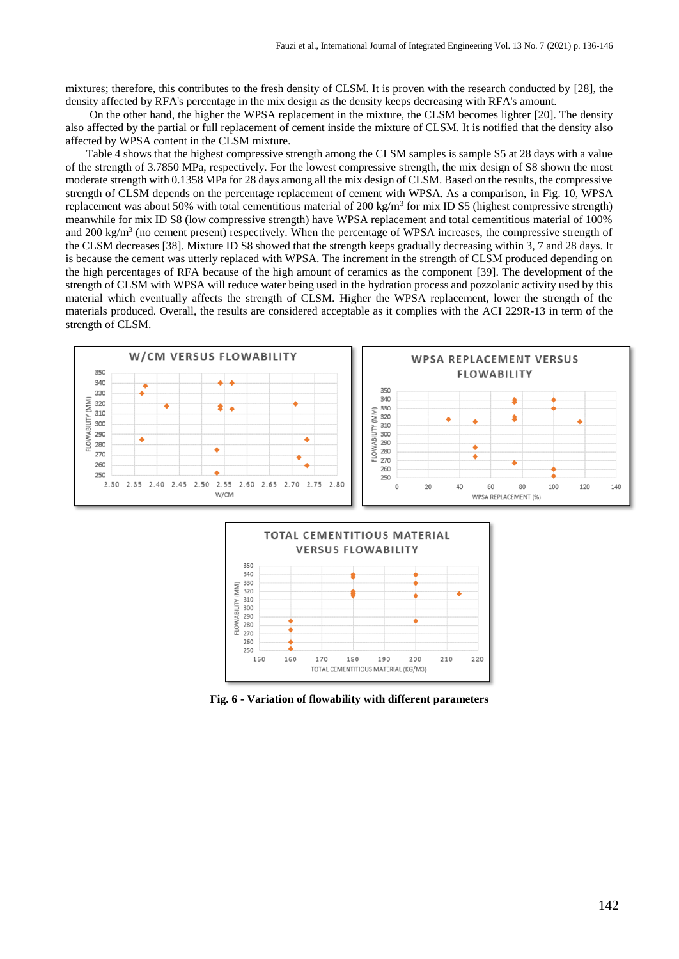mixtures; therefore, this contributes to the fresh density of CLSM. It is proven with the research conducted by [28], the density affected by RFA's percentage in the mix design as the density keeps decreasing with RFA's amount.

On the other hand, the higher the WPSA replacement in the mixture, the CLSM becomes lighter [20]. The density also affected by the partial or full replacement of cement inside the mixture of CLSM. It is notified that the density also affected by WPSA content in the CLSM mixture.

Table 4 shows that the highest compressive strength among the CLSM samples is sample S5 at 28 days with a value of the strength of 3.7850 MPa, respectively. For the lowest compressive strength, the mix design of S8 shown the most moderate strength with 0.1358 MPa for 28 days among all the mix design of CLSM. Based on the results, the compressive strength of CLSM depends on the percentage replacement of cement with WPSA. As a comparison, in Fig. 10, WPSA replacement was about 50% with total cementitious material of  $200 \text{ kg/m}^3$  for mix ID S5 (highest compressive strength) meanwhile for mix ID S8 (low compressive strength) have WPSA replacement and total cementitious material of 100% and 200 kg/m<sup>3</sup> (no cement present) respectively. When the percentage of WPSA increases, the compressive strength of the CLSM decreases [38]. Mixture ID S8 showed that the strength keeps gradually decreasing within 3, 7 and 28 days. It is because the cement was utterly replaced with WPSA. The increment in the strength of CLSM produced depending on the high percentages of RFA because of the high amount of ceramics as the component [39]. The development of the strength of CLSM with WPSA will reduce water being used in the hydration process and pozzolanic activity used by this material which eventually affects the strength of CLSM. Higher the WPSA replacement, lower the strength of the materials produced. Overall, the results are considered acceptable as it complies with the ACI 229R-13 in term of the strength of CLSM.





**Fig. 6 - Variation of flowability with different parameters**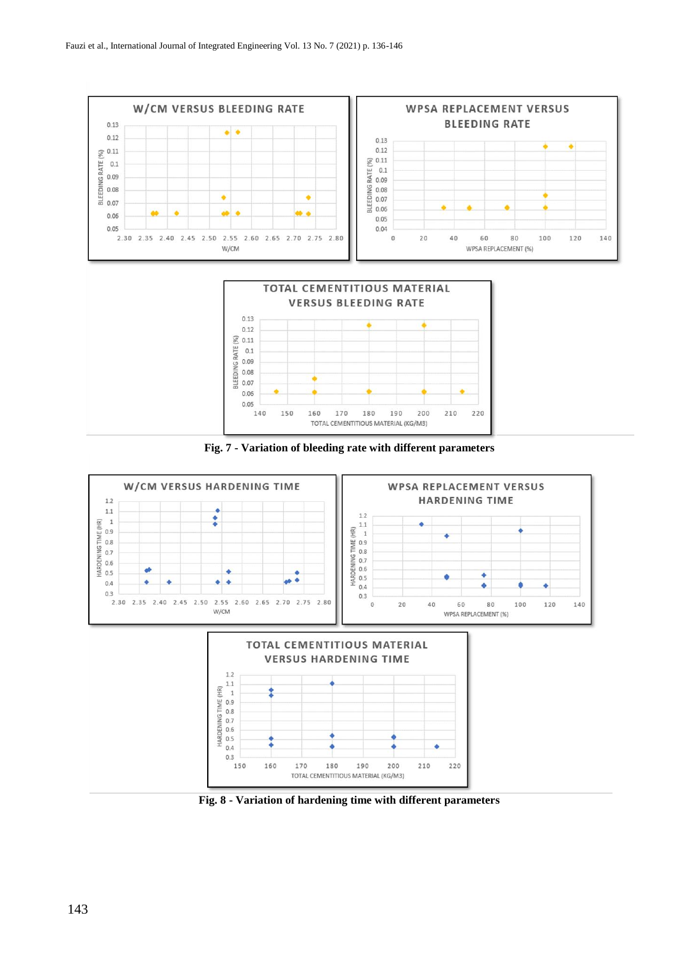







**Fig. 8 - Variation of hardening time with different parameters**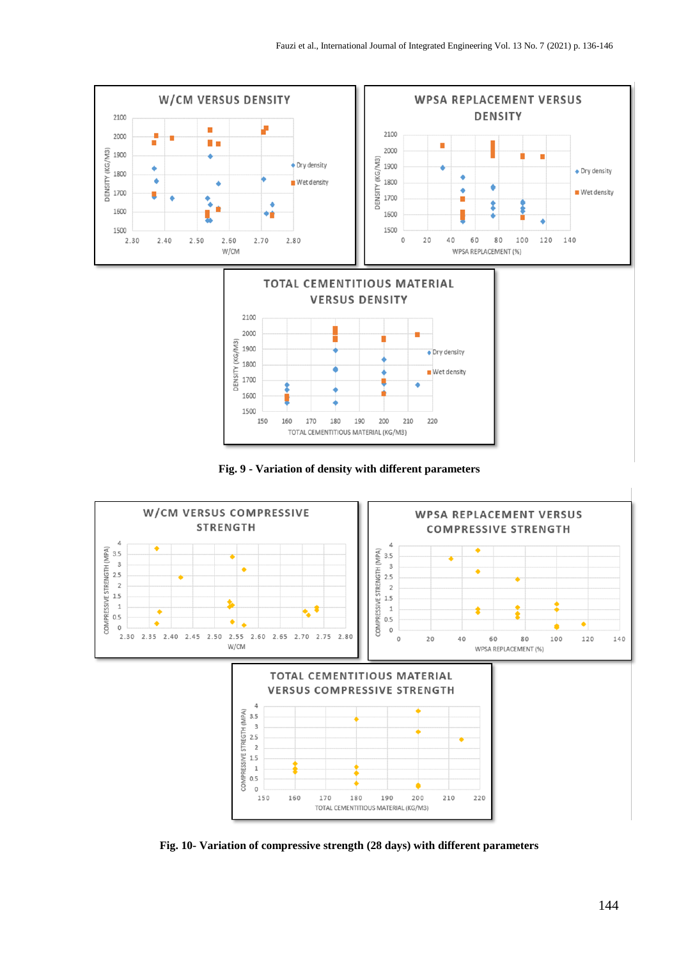







**Fig. 10- Variation of compressive strength (28 days) with different parameters**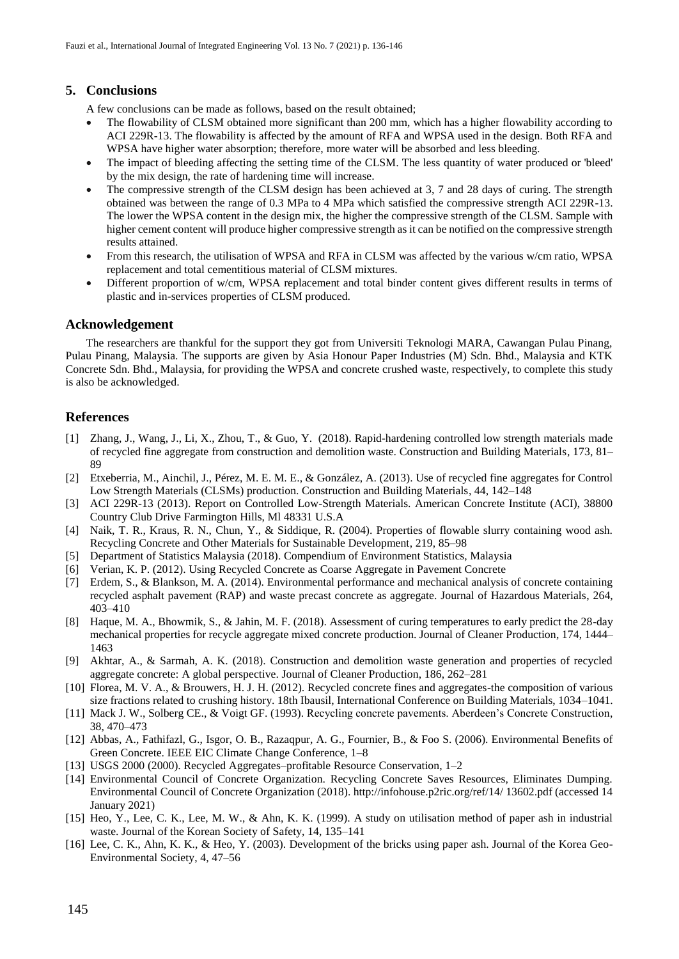# **5. Conclusions**

A few conclusions can be made as follows, based on the result obtained;

- The flowability of CLSM obtained more significant than 200 mm, which has a higher flowability according to ACI 229R-13. The flowability is affected by the amount of RFA and WPSA used in the design. Both RFA and WPSA have higher water absorption; therefore, more water will be absorbed and less bleeding.
- The impact of bleeding affecting the setting time of the CLSM. The less quantity of water produced or 'bleed' by the mix design, the rate of hardening time will increase.
- The compressive strength of the CLSM design has been achieved at 3, 7 and 28 days of curing. The strength obtained was between the range of 0.3 MPa to 4 MPa which satisfied the compressive strength ACI 229R-13. The lower the WPSA content in the design mix, the higher the compressive strength of the CLSM. Sample with higher cement content will produce higher compressive strength as it can be notified on the compressive strength results attained.
- From this research, the utilisation of WPSA and RFA in CLSM was affected by the various w/cm ratio, WPSA replacement and total cementitious material of CLSM mixtures.
- Different proportion of w/cm, WPSA replacement and total binder content gives different results in terms of plastic and in-services properties of CLSM produced.

#### **Acknowledgement**

The researchers are thankful for the support they got from Universiti Teknologi MARA, Cawangan Pulau Pinang, Pulau Pinang, Malaysia. The supports are given by Asia Honour Paper Industries (M) Sdn. Bhd., Malaysia and KTK Concrete Sdn. Bhd., Malaysia, for providing the WPSA and concrete crushed waste, respectively, to complete this study is also be acknowledged.

# **References**

- [1] Zhang, J., Wang, J., Li, X., Zhou, T., & Guo, Y. (2018). Rapid-hardening controlled low strength materials made of recycled fine aggregate from construction and demolition waste. Construction and Building Materials, 173, 81– 89
- [2] Etxeberria, M., Ainchil, J., Pérez, M. E. M. E., & González, A. (2013). Use of recycled fine aggregates for Control Low Strength Materials (CLSMs) production. Construction and Building Materials, 44, 142–148
- [3] ACI 229R-13 (2013). Report on Controlled Low-Strength Materials. American Concrete Institute (ACI), 38800 Country Club Drive Farmington Hills, Ml 48331 U.S.A
- [4] Naik, T. R., Kraus, R. N., Chun, Y., & Siddique, R. (2004). Properties of flowable slurry containing wood ash. Recycling Concrete and Other Materials for Sustainable Development, 219, 85–98
- [5] Department of Statistics Malaysia (2018). Compendium of Environment Statistics, Malaysia
- [6] Verian, K. P. (2012). Using Recycled Concrete as Coarse Aggregate in Pavement Concrete
- [7] Erdem, S., & Blankson, M. A. (2014). Environmental performance and mechanical analysis of concrete containing recycled asphalt pavement (RAP) and waste precast concrete as aggregate. Journal of Hazardous Materials, 264, 403–410
- [8] Haque, M. A., Bhowmik, S., & Jahin, M. F. (2018). Assessment of curing temperatures to early predict the 28-day mechanical properties for recycle aggregate mixed concrete production. Journal of Cleaner Production, 174, 1444– 1463
- [9] Akhtar, A., & Sarmah, A. K. (2018). Construction and demolition waste generation and properties of recycled aggregate concrete: A global perspective. Journal of Cleaner Production, 186, 262–281
- [10] Florea, M. V. A., & Brouwers, H. J. H. (2012). Recycled concrete fines and aggregates-the composition of various size fractions related to crushing history. 18th Ibausil, International Conference on Building Materials, 1034–1041.
- [11] Mack J. W., Solberg CE., & Voigt GF. (1993). Recycling concrete pavements. Aberdeen's Concrete Construction, 38, 470–473
- [12] Abbas, A., Fathifazl, G., Isgor, O. B., Razaqpur, A. G., Fournier, B., & Foo S. (2006). Environmental Benefits of Green Concrete. IEEE EIC Climate Change Conference, 1–8
- [13] USGS 2000 (2000). Recycled Aggregates–profitable Resource Conservation, 1–2
- [14] Environmental Council of Concrete Organization. Recycling Concrete Saves Resources, Eliminates Dumping. Environmental Council of Concrete Organization (2018). http://infohouse.p2ric.org/ref/14/ 13602.pdf (accessed 14 January 2021)
- [15] Heo, Y., Lee, C. K., Lee, M. W., & Ahn, K. K. (1999). A study on utilisation method of paper ash in industrial waste. Journal of the Korean Society of Safety, 14, 135–141
- [16] Lee, C. K., Ahn, K. K., & Heo, Y. (2003). Development of the bricks using paper ash. Journal of the Korea Geo-Environmental Society, 4, 47–56